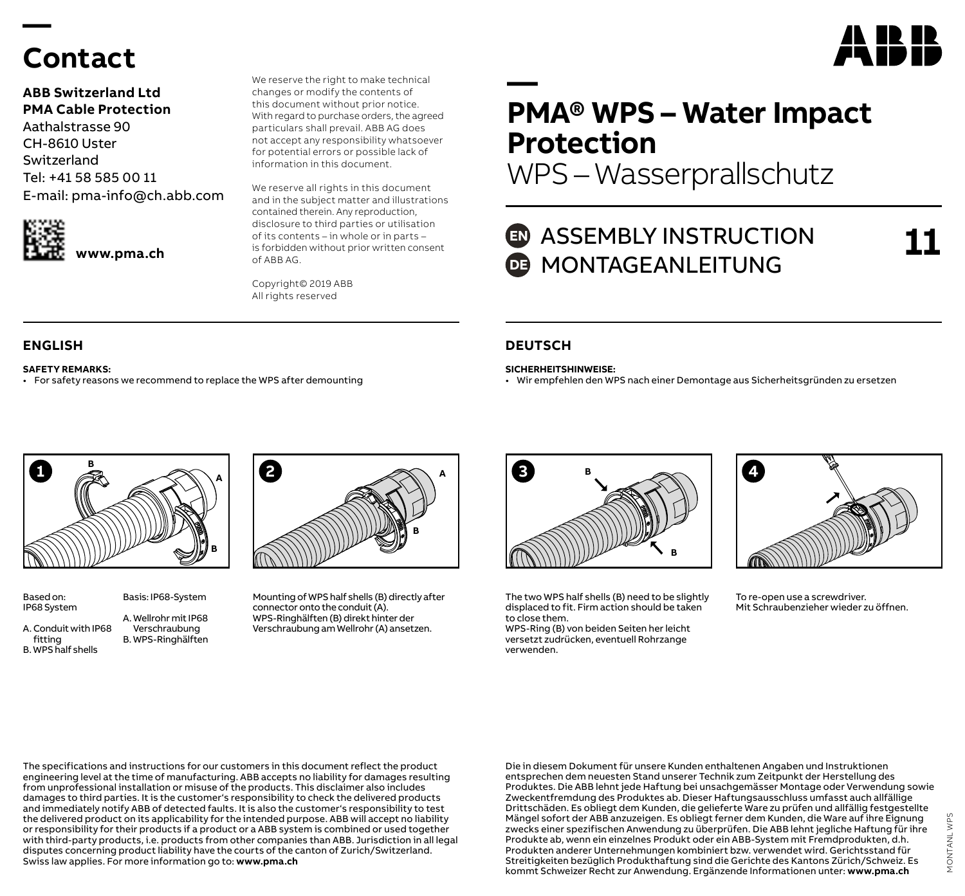## **Contact**

**—** 

**ABB Switzerland Ltd PMA Cable Protection** Aathalstrasse 90 CH-8610 Uster Switzerland Tel: +41 58 585 00 11 E-mail: pma-info@ch.abb.com



this document without prior notice. With regard to purchase orders, the agreed particulars shall prevail. ABB AG does not accept any responsibility whatsoever for potential errors or possible lack of information in this document.

We reserve the right to make technical changes or modify the contents of

We reserve all rights in this document and in the subject matter and illustrations contained therein. Any reproduction, disclosure to third parties or utilisation of its contents – in whole or in parts – is forbidden without prior written consent of ABB AG.

Copyright© 2019 ABB All rights reserved

**SAFETY REMARKS:**

• For safety reasons we recommend to replace the WPS after demounting

## **— PMA® WPS – Water Impact Protection**

WPS – Wasserprallschutz

## **ED** ASSEMBLY INSTRUCTION **DE MONTAGEANLEITUNG**

**11**

A IR IR

### **ENGLISH DEUTSCH**

**SICHERHEITSHINWEISE:**

• Wir empfehlen den WPS nach einer Demontage aus Sicherheitsgründen zu ersetzen



Based on: IP68 System Basis: IP68-System

A. Conduit with IP68 A. Wellrohr mit IP68 Verschraubung B. WPS-Ringhälften

fitting B. WPS half shells



Mounting of WPS half shells (B) directly after connector onto the conduit (A). WPS-Ringhälften (B) direkt hinter der Verschraubung am Wellrohr (A) ansetzen.



The two WPS half shells (B) need to be slightly displaced to fit. Firm action should be taken to close them.

WPS-Ring (B) von beiden Seiten her leicht versetzt zudrücken, eventuell Rohrzange verwenden.



To re-open use a screwdriver. Mit Schraubenzieher wieder zu öffnen.

The specifications and instructions for our customers in this document reflect the product engineering level at the time of manufacturing. ABB accepts no liability for damages resulting from unprofessional installation or misuse of the products. This disclaimer also includes damages to third parties. It is the customer's responsibility to check the delivered products and immediately notify ABB of detected faults. It is also the customer's responsibility to test the delivered product on its applicability for the intended purpose. ABB will accept no liability or responsibility for their products if a product or a ABB system is combined or used together with third-party products, i.e. products from other companies than ABB. Jurisdiction in all legal disputes concerning product liability have the courts of the canton of Zurich/Switzerland. Swiss law applies. For more information go to: **www.pma.ch**

Die in diesem Dokument für unsere Kunden enthaltenen Angaben und Instruktionen entsprechen dem neuesten Stand unserer Technik zum Zeitpunkt der Herstellung des Produktes. Die ABB lehnt jede Haftung bei unsachgemässer Montage oder Verwendung sowie Zweckentfremdung des Produktes ab. Dieser Haftungsausschluss umfasst auch allfällige Drittschäden. Es obliegt dem Kunden, die gelieferte Ware zu prüfen und allfällig festgestellte Mängel sofort der ABB anzuzeigen. Es obliegt ferner dem Kunden, die Ware auf ihre Eignung zwecks einer spezifischen Anwendung zu überprüfen. Die ABB lehnt jegliche Haftung für ihre Produkte ab, wenn ein einzelnes Produkt oder ein ABB-System mit Fremdprodukten, d.h. Produkten anderer Unternehmungen kombiniert bzw. verwendet wird. Gerichtsstand für Streitigkeiten bezüglich Produkthaftung sind die Gerichte des Kantons Zürich/Schweiz. Es kommt Schweizer Recht zur Anwendung. Ergänzende Informationen unter: **www.pma.ch**